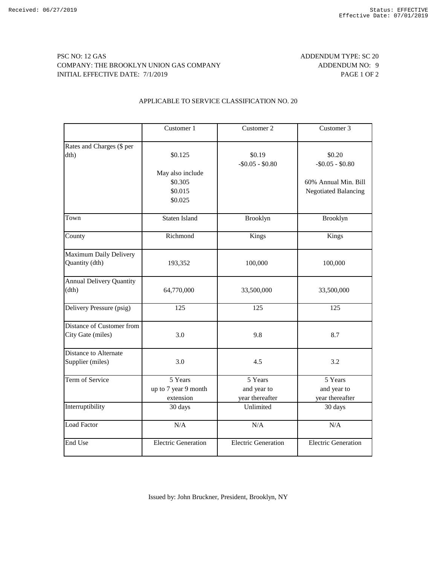# PSC NO: 12 GAS ADDENDUM TYPE: SC 20 COMPANY: THE BROOKLYN UNION GAS COMPANY ADDENDUM NO: 9 INITIAL EFFECTIVE DATE: 7/1/2019 PAGE 1 OF 2

## APPLICABLE TO SERVICE CLASSIFICATION NO. 20

|                                                | Customer 1                                                   | Customer 2                                | Customer 3                                                                           |
|------------------------------------------------|--------------------------------------------------------------|-------------------------------------------|--------------------------------------------------------------------------------------|
| Rates and Charges (\$ per<br>$dth$ )           | \$0.125<br>May also include<br>\$0.305<br>\$0.015<br>\$0.025 | \$0.19<br>$-$ \$0.05 - \$0.80             | \$0.20<br>$-$ \$0.05 - \$0.80<br>60% Annual Min. Bill<br><b>Negotiated Balancing</b> |
| Town                                           | <b>Staten Island</b>                                         | <b>Brooklyn</b>                           | Brooklyn                                                                             |
| County                                         | Richmond                                                     | Kings                                     | Kings                                                                                |
| Maximum Daily Delivery<br>Quantity (dth)       | 193,352                                                      | 100,000                                   | 100,000                                                                              |
| <b>Annual Delivery Quantity</b><br>(dth)       | 64,770,000                                                   | 33,500,000                                | 33,500,000                                                                           |
| Delivery Pressure (psig)                       | 125                                                          | 125                                       | 125                                                                                  |
| Distance of Customer from<br>City Gate (miles) | 3.0                                                          | 9.8                                       | 8.7                                                                                  |
| Distance to Alternate<br>Supplier (miles)      | 3.0                                                          | 4.5                                       | 3.2                                                                                  |
| Term of Service                                | 5 Years<br>up to 7 year 9 month<br>extension                 | 5 Years<br>and year to<br>year thereafter | 5 Years<br>and year to<br>year thereafter                                            |
| Interruptibility                               | 30 days                                                      | Unlimited                                 | 30 days                                                                              |
| <b>Load Factor</b>                             | N/A                                                          | N/A                                       | N/A                                                                                  |
| End Use                                        | <b>Electric Generation</b>                                   | <b>Electric Generation</b>                | <b>Electric Generation</b>                                                           |

Issued by: John Bruckner, President, Brooklyn, NY